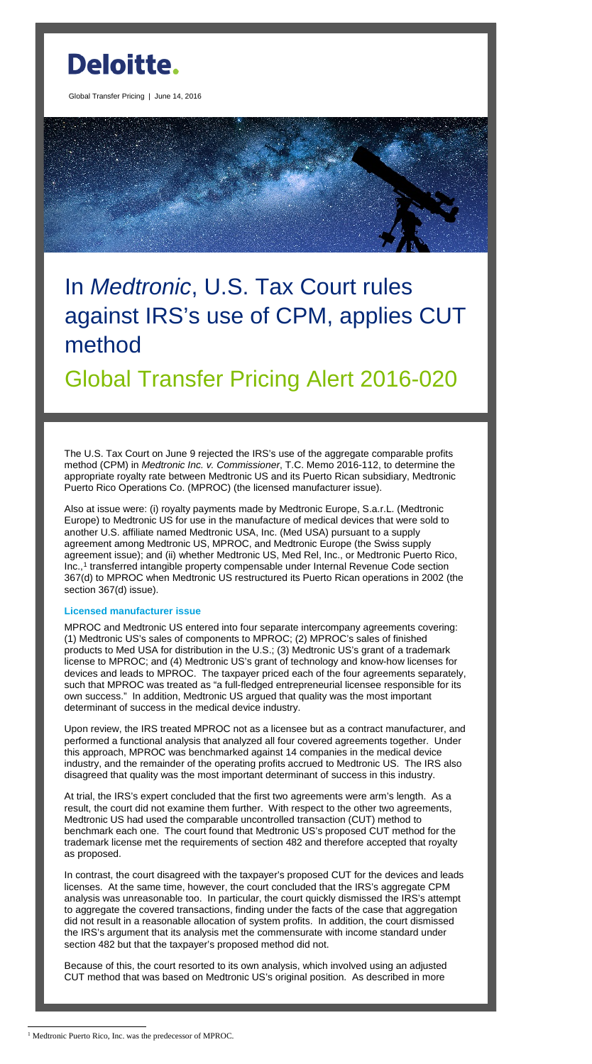

Global Transfer Pricing | June 14, 2016

# In *Medtronic*, U.S. Tax Court rules against IRS's use of CPM, applies CUT method

Global Transfer Pricing Alert 2016-020

The U.S. Tax Court on June 9 rejected the IRS's use of the aggregate comparable profits method (CPM) in *Medtronic Inc. v. Commissioner*, T.C. Memo 2016-112, to determine the appropriate royalty rate between Medtronic US and its Puerto Rican subsidiary, Medtronic Puerto Rico Operations Co. (MPROC) (the licensed manufacturer issue).

Also at issue were: (i) royalty payments made by Medtronic Europe, S.a.r.L. (Medtronic Europe) to Medtronic US for use in the manufacture of medical devices that were sold to another U.S. affiliate named Medtronic USA, Inc. (Med USA) pursuant to a supply agreement among Medtronic US, MPROC, and Medtronic Europe (the Swiss supply agreement issue); and (ii) whether Medtronic US, Med Rel, Inc., or Medtronic Puerto Rico, Inc.,<sup>[1](#page-0-0)</sup> transferred intangible property compensable under Internal Revenue Code section 367(d) to MPROC when Medtronic US restructured its Puerto Rican operations in 2002 (the section 367(d) issue).

# **Licensed manufacturer issue**

MPROC and Medtronic US entered into four separate intercompany agreements covering: (1) Medtronic US's sales of components to MPROC; (2) MPROC's sales of finished products to Med USA for distribution in the U.S.; (3) Medtronic US's grant of a trademark license to MPROC; and (4) Medtronic US's grant of technology and know-how licenses for devices and leads to MPROC. The taxpayer priced each of the four agreements separately, such that MPROC was treated as "a full-fledged entrepreneurial licensee responsible for its own success." In addition, Medtronic US argued that quality was the most important determinant of success in the medical device industry.

Upon review, the IRS treated MPROC not as a licensee but as a contract manufacturer, and performed a functional analysis that analyzed all four covered agreements together. Under this approach, MPROC was benchmarked against 14 companies in the medical device industry, and the remainder of the operating profits accrued to Medtronic US. The IRS also disagreed that quality was the most important determinant of success in this industry.

At trial, the IRS's expert concluded that the first two agreements were arm's length. As a result, the court did not examine them further. With respect to the other two agreements, Medtronic US had used the comparable uncontrolled transaction (CUT) method to benchmark each one. The court found that Medtronic US's proposed CUT method for the trademark license met the requirements of section 482 and therefore accepted that royalty as proposed.

In contrast, the court disagreed with the taxpayer's proposed CUT for the devices and leads licenses. At the same time, however, the court concluded that the IRS's aggregate CPM analysis was unreasonable too. In particular, the court quickly dismissed the IRS's attempt to aggregate the covered transactions, finding under the facts of the case that aggregation did not result in a reasonable allocation of system profits. In addition, the court dismissed the IRS's argument that its analysis met the commensurate with income standard under section 482 but that the taxpayer's proposed method did not.

Because of this, the court resorted to its own analysis, which involved using an adjusted CUT method that was based on Medtronic US's original position. As described in more

 $\overline{a}$ 

<span id="page-0-0"></span><sup>&</sup>lt;sup>1</sup> Medtronic Puerto Rico, Inc. was the predecessor of MPROC.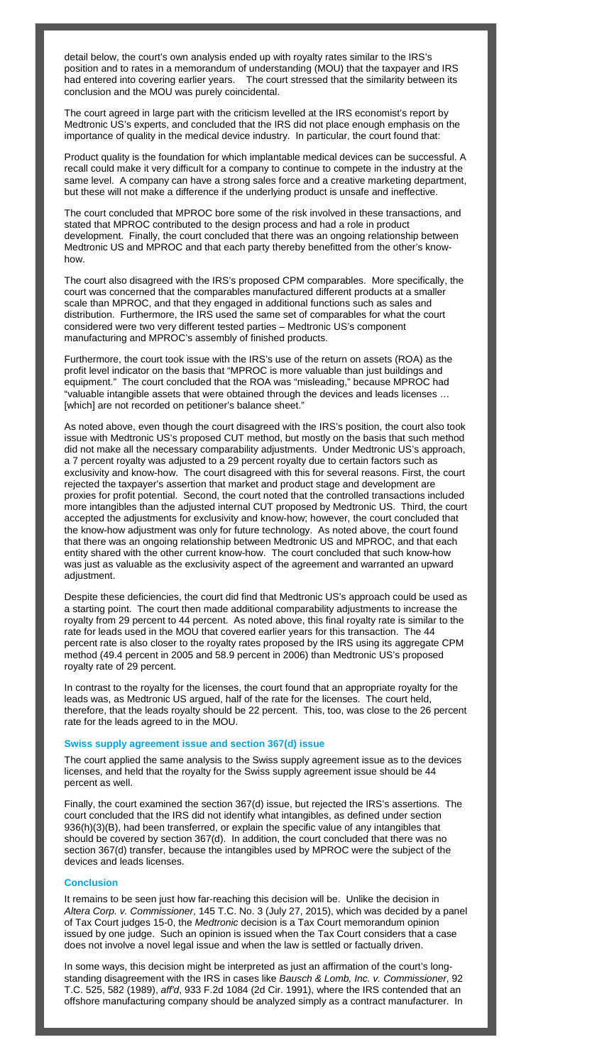detail below, the court's own analysis ended up with royalty rates similar to the IRS's position and to rates in a memorandum of understanding (MOU) that the taxpayer and IRS had entered into covering earlier years. The court stressed that the similarity between its conclusion and the MOU was purely coincidental.

The court agreed in large part with the criticism levelled at the IRS economist's report by Medtronic US's experts, and concluded that the IRS did not place enough emphasis on the importance of quality in the medical device industry. In particular, the court found that:

Product quality is the foundation for which implantable medical devices can be successful. A recall could make it very difficult for a company to continue to compete in the industry at the same level. A company can have a strong sales force and a creative marketing department, but these will not make a difference if the underlying product is unsafe and ineffective.

Furthermore, the court took issue with the IRS's use of the return on assets (ROA) as the profit level indicator on the basis that "MPROC is more valuable than just buildings and equipment." The court concluded that the ROA was "misleading," because MPROC had "valuable intangible assets that were obtained through the devices and leads licenses … [which] are not recorded on petitioner's balance sheet."

The court concluded that MPROC bore some of the risk involved in these transactions, and stated that MPROC contributed to the design process and had a role in product development. Finally, the court concluded that there was an ongoing relationship between Medtronic US and MPROC and that each party thereby benefitted from the other's knowhow.

The court also disagreed with the IRS's proposed CPM comparables. More specifically, the court was concerned that the comparables manufactured different products at a smaller scale than MPROC, and that they engaged in additional functions such as sales and distribution. Furthermore, the IRS used the same set of comparables for what the court considered were two very different tested parties – Medtronic US's component manufacturing and MPROC's assembly of finished products.

As noted above, even though the court disagreed with the IRS's position, the court also took issue with Medtronic US's proposed CUT method, but mostly on the basis that such method did not make all the necessary comparability adjustments. Under Medtronic US's approach, a 7 percent royalty was adjusted to a 29 percent royalty due to certain factors such as exclusivity and know-how. The court disagreed with this for several reasons. First, the court rejected the taxpayer's assertion that market and product stage and development are proxies for profit potential. Second, the court noted that the controlled transactions included more intangibles than the adjusted internal CUT proposed by Medtronic US. Third, the court accepted the adjustments for exclusivity and know-how; however, the court concluded that the know-how adjustment was only for future technology. As noted above, the court found that there was an ongoing relationship between Medtronic US and MPROC, and that each entity shared with the other current know-how. The court concluded that such know-how was just as valuable as the exclusivity aspect of the agreement and warranted an upward adjustment.

Despite these deficiencies, the court did find that Medtronic US's approach could be used as a starting point. The court then made additional comparability adjustments to increase the royalty from 29 percent to 44 percent. As noted above, this final royalty rate is similar to the rate for leads used in the MOU that covered earlier years for this transaction. The 44 percent rate is also closer to the royalty rates proposed by the IRS using its aggregate CPM method (49.4 percent in 2005 and 58.9 percent in 2006) than Medtronic US's proposed royalty rate of 29 percent.

In contrast to the royalty for the licenses, the court found that an appropriate royalty for the leads was, as Medtronic US argued, half of the rate for the licenses. The court held, therefore, that the leads royalty should be 22 percent. This, too, was close to the 26 percent rate for the leads agreed to in the MOU.

### **Swiss supply agreement issue and section 367(d) issue**

The court applied the same analysis to the Swiss supply agreement issue as to the devices licenses, and held that the royalty for the Swiss supply agreement issue should be 44 percent as well.

Finally, the court examined the section 367(d) issue, but rejected the IRS's assertions. The court concluded that the IRS did not identify what intangibles, as defined under section 936(h)(3)(B), had been transferred, or explain the specific value of any intangibles that should be covered by section 367(d). In addition, the court concluded that there was no section 367(d) transfer, because the intangibles used by MPROC were the subject of the devices and leads licenses.

## **Conclusion**

It remains to be seen just how far-reaching this decision will be. Unlike the decision in *Altera Corp. v. Commissioner*, 145 T.C. No. 3 (July 27, 2015), which was decided by a panel of Tax Court judges 15-0, the *Medtronic* decision is a Tax Court memorandum opinion issued by one judge. Such an opinion is issued when the Tax Court considers that a case does not involve a novel legal issue and when the law is settled or factually driven.

In some ways, this decision might be interpreted as just an affirmation of the court's longstanding disagreement with the IRS in cases like *Bausch & Lomb, Inc. v. Commissioner*, 92 T.C. 525, 582 (1989), *aff'd*, 933 F.2d 1084 (2d Cir. 1991), where the IRS contended that an offshore manufacturing company should be analyzed simply as a contract manufacturer. In